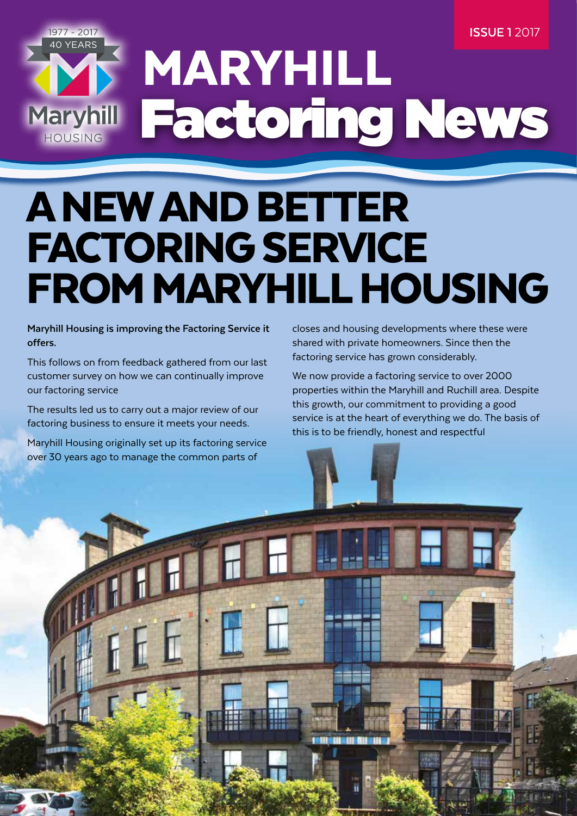**ISSUE 1** 2017

### 1977 - 2017 40 YEARS MARYHILL Factoring News Maryhill HOUSING

# A NEW AND BETTER FACTORING SERVICE FROM MARYHILL HOUSING

**Maryhill Housing is improving the Factoring Service it offers.** 

This follows on from feedback gathered from our last customer survey on how we can continually improve our factoring service

The results led us to carry out a major review of our factoring business to ensure it meets your needs.

Maryhill Housing originally set up its factoring service over 30 years ago to manage the common parts of

closes and housing developments where these were shared with private homeowners. Since then the factoring service has grown considerably.

We now provide a factoring service to over 2000 properties within the Maryhill and Ruchill area. Despite this growth, our commitment to providing a good service is at the heart of everything we do. The basis of this is to be friendly, honest and respectful